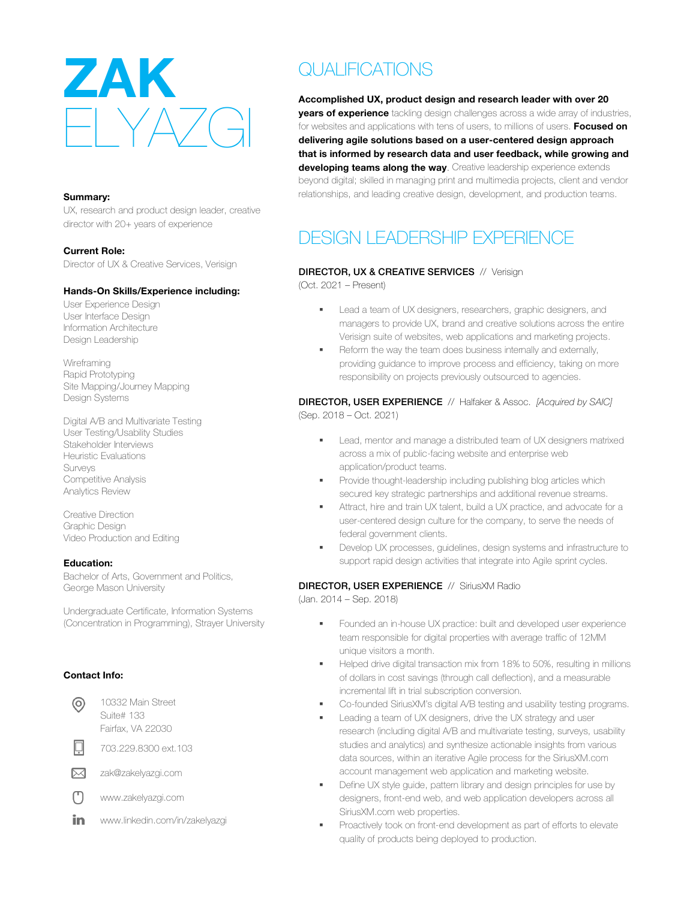

#### **Summary:**

UX, research and product design leader, creative director with 20+ years of experience

**Current Role:** Director of UX & Creative Services, Verisign

#### **Hands-On Skills/Experience including:**

User Experience Design User Interface Design Information Architecture Design Leadership

Wireframing Rapid Prototyping Site Mapping/Journey Mapping Design Systems

Digital A/B and Multivariate Testing User Testing/Usability Studies Stakeholder Interviews Heuristic Evaluations Surveys Competitive Analysis Analytics Review

Creative Direction Graphic Design Video Production and Editing

#### **Education:**

Bachelor of Arts, Government and Politics, George Mason University

Undergraduate Certificate, Information Systems (Concentration in Programming), Strayer University

### **Contact Info:**

10332 Main Street ⊚ Suite# 133

Fairfax, VA 22030

703.229.8300 ext.103

 $\boxtimes$ zak@zakelyazgi.com

Μ www.zakelyazgi.com

in. www.linkedin.com/in/zakelyazgi

# QUALIFICATIONS

**Accomplished UX, product design and research leader with over 20 years of experience** tackling design challenges across a wide array of industries, for websites and applications with tens of users, to millions of users. **Focused on delivering agile solutions based on a user-centered design approach that is informed by research data and user feedback, while growing and developing teams along the way**. Creative leadership experience extends beyond digital; skilled in managing print and multimedia projects, client and vendor relationships, and leading creative design, development, and production teams.

# DESIGN LEADERSHIP EXPERIENCE

## DIRECTOR, UX & CREATIVE SERVICES // Verisign

(Oct. 2021 – Present)

- **■** Lead a team of UX designers, researchers, graphic designers, and managers to provide UX, brand and creative solutions across the entire Verisign suite of websites, web applications and marketing projects.
- **•** Reform the way the team does business internally and externally, providing guidance to improve process and efficiency, taking on more responsibility on projects previously outsourced to agencies.

#### DIRECTOR, USER EXPERIENCE // Halfaker & Assoc. *[Acquired by SAIC]* (Sep. 2018 – Oct. 2021)

- Lead, mentor and manage a distributed team of UX designers matrixed across a mix of public-facing website and enterprise web
- application/product teams. **•** Provide thought-leadership including publishing blog articles which secured key strategic partnerships and additional revenue streams.
- Attract, hire and train UX talent, build a UX practice, and advocate for a user-centered design culture for the company, to serve the needs of federal government clients.
- § Develop UX processes, guidelines, design systems and infrastructure to support rapid design activities that integrate into Agile sprint cycles.

# DIRECTOR, USER EXPERIENCE // SiriusXM Radio

(Jan. 2014 – Sep. 2018)

- **•** Founded an in-house UX practice: built and developed user experience team responsible for digital properties with average traffic of 12MM unique visitors a month.
- Helped drive digital transaction mix from 18% to 50%, resulting in millions of dollars in cost savings (through call deflection), and a measurable incremental lift in trial subscription conversion.
- Co-founded SiriusXM's digital A/B testing and usability testing programs.
- Leading a team of UX designers, drive the UX strategy and user research (including digital A/B and multivariate testing, surveys, usability studies and analytics) and synthesize actionable insights from various data sources, within an iterative Agile process for the SiriusXM.com account management web application and marketing website.
- Define UX style guide, pattern library and design principles for use by designers, front-end web, and web application developers across all SiriusXM.com web properties.
- Proactively took on front-end development as part of efforts to elevate quality of products being deployed to production.